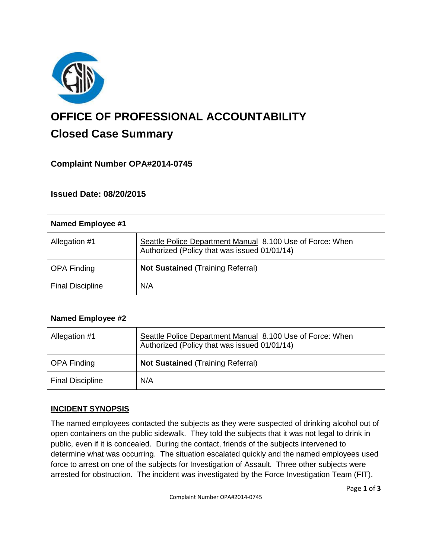

# **OFFICE OF PROFESSIONAL ACCOUNTABILITY Closed Case Summary**

## **Complaint Number OPA#2014-0745**

**Issued Date: 08/20/2015**

| Named Employee #1       |                                                                                                           |
|-------------------------|-----------------------------------------------------------------------------------------------------------|
| Allegation #1           | Seattle Police Department Manual 8.100 Use of Force: When<br>Authorized (Policy that was issued 01/01/14) |
| <b>OPA Finding</b>      | <b>Not Sustained (Training Referral)</b>                                                                  |
| <b>Final Discipline</b> | N/A                                                                                                       |

| <b>Named Employee #2</b> |                                                                                                           |
|--------------------------|-----------------------------------------------------------------------------------------------------------|
| Allegation #1            | Seattle Police Department Manual 8.100 Use of Force: When<br>Authorized (Policy that was issued 01/01/14) |
| <b>OPA Finding</b>       | <b>Not Sustained (Training Referral)</b>                                                                  |
| <b>Final Discipline</b>  | N/A                                                                                                       |

## **INCIDENT SYNOPSIS**

The named employees contacted the subjects as they were suspected of drinking alcohol out of open containers on the public sidewalk. They told the subjects that it was not legal to drink in public, even if it is concealed. During the contact, friends of the subjects intervened to determine what was occurring. The situation escalated quickly and the named employees used force to arrest on one of the subjects for Investigation of Assault. Three other subjects were arrested for obstruction. The incident was investigated by the Force Investigation Team (FIT).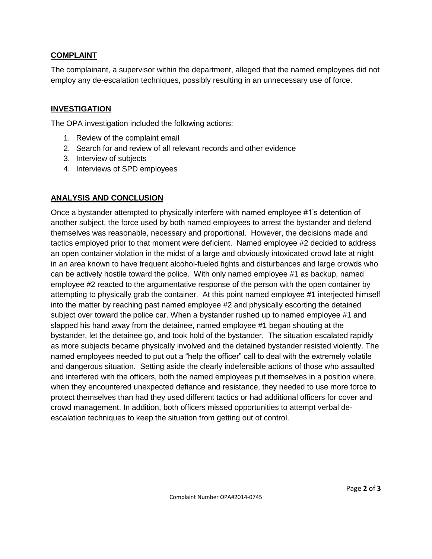#### **COMPLAINT**

The complainant, a supervisor within the department, alleged that the named employees did not employ any de-escalation techniques, possibly resulting in an unnecessary use of force.

#### **INVESTIGATION**

The OPA investigation included the following actions:

- 1. Review of the complaint email
- 2. Search for and review of all relevant records and other evidence
- 3. Interview of subjects
- 4. Interviews of SPD employees

### **ANALYSIS AND CONCLUSION**

Once a bystander attempted to physically interfere with named employee #1's detention of another subject, the force used by both named employees to arrest the bystander and defend themselves was reasonable, necessary and proportional. However, the decisions made and tactics employed prior to that moment were deficient. Named employee #2 decided to address an open container violation in the midst of a large and obviously intoxicated crowd late at night in an area known to have frequent alcohol-fueled fights and disturbances and large crowds who can be actively hostile toward the police. With only named employee #1 as backup, named employee #2 reacted to the argumentative response of the person with the open container by attempting to physically grab the container. At this point named employee #1 interjected himself into the matter by reaching past named employee #2 and physically escorting the detained subject over toward the police car. When a bystander rushed up to named employee #1 and slapped his hand away from the detainee, named employee #1 began shouting at the bystander, let the detainee go, and took hold of the bystander. The situation escalated rapidly as more subjects became physically involved and the detained bystander resisted violently. The named employees needed to put out a "help the officer" call to deal with the extremely volatile and dangerous situation. Setting aside the clearly indefensible actions of those who assaulted and interfered with the officers, both the named employees put themselves in a position where, when they encountered unexpected defiance and resistance, they needed to use more force to protect themselves than had they used different tactics or had additional officers for cover and crowd management. In addition, both officers missed opportunities to attempt verbal deescalation techniques to keep the situation from getting out of control.